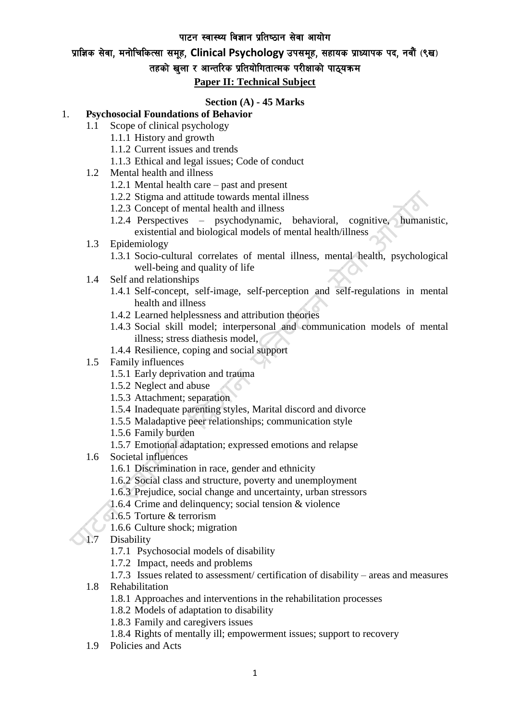#### पाटन स्वास्थ्य विज्ञान प्रतिष्ठान सेवा आयोग

## प्राज्ञिक सेवा, मनोचिकित्सा समूह, Clinical Psychology उपसमूह, सहायक प्राध्यापक पद, नवौं (९ख)

## तहको खुला र आन्तरिक प्रतियोगितात्मक परीक्षाको पाठ्यक्रम

#### **Paper II: Technical Subject**

#### **Section (A) - 45 Marks**

#### 1. **Psychosocial Foundations of Behavior**

- 1.1 Scope of clinical psychology
	- 1.1.1 History and growth
	- 1.1.2 Current issues and trends
	- 1.1.3 Ethical and legal issues; Code of conduct
- 1.2 Mental health and illness
	- 1.2.1 Mental health care past and present
	- 1.2.2 Stigma and attitude towards mental illness
	- 1.2.3 Concept of mental health and illness
	- 1.2.4 Perspectives psychodynamic, behavioral, cognitive, humanistic, existential and biological models of mental health/illness

#### 1.3 Epidemiology

- 1.3.1 Socio-cultural correlates of mental illness, mental health, psychological well-being and quality of life
- 1.4 Self and relationships
	- 1.4.1 Self-concept, self-image, self-perception and self-regulations in mental health and illness
	- 1.4.2 Learned helplessness and attribution theories
	- 1.4.3 Social skill model; interpersonal and communication models of mental illness; stress diathesis model,
	- 1.4.4 Resilience, coping and social support
- 1.5 Family influences
	- 1.5.1 Early deprivation and trauma
	- 1.5.2 Neglect and abuse
	- 1.5.3 Attachment; separation
	- 1.5.4 Inadequate parenting styles, Marital discord and divorce
	- 1.5.5 Maladaptive peer relationships; communication style
	- 1.5.6 Family burden
	- 1.5.7 Emotional adaptation; expressed emotions and relapse
- 1.6 Societal influences
	- 1.6.1 Discrimination in race, gender and ethnicity
	- 1.6.2 Social class and structure, poverty and unemployment
	- 1.6.3 Prejudice, social change and uncertainty, urban stressors
	- 1.6.4 Crime and delinquency; social tension & violence
	- 1.6.5 Torture & terrorism
	- 1.6.6 Culture shock; migration
- 1.7 Disability
	- 1.7.1 Psychosocial models of disability
	- 1.7.2 Impact, needs and problems

#### 1.7.3 Issues related to assessment/ certification of disability – areas and measures

- 1.8 Rehabilitation
	- 1.8.1 Approaches and interventions in the rehabilitation processes
	- 1.8.2 Models of adaptation to disability
	- 1.8.3 Family and caregivers issues
	- 1.8.4 Rights of mentally ill; empowerment issues; support to recovery
- 1.9 Policies and Acts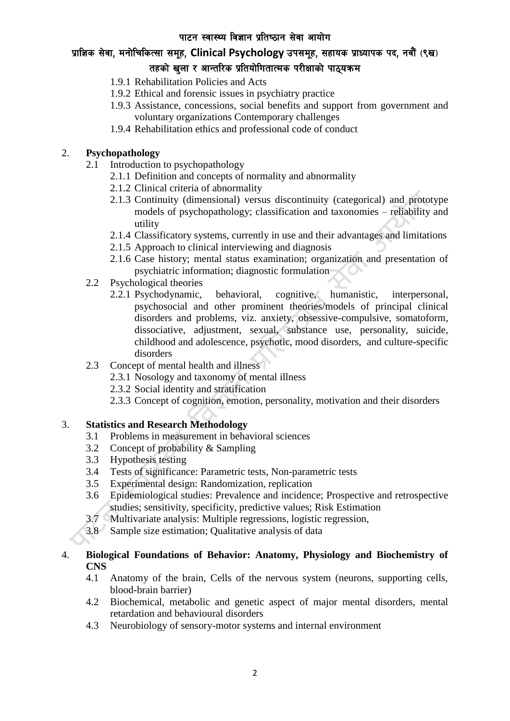# प्राज्ञिक सेवा, मनोचिकित्सा समूह, Clinical Psychology उपसमूह, सहायक प्राध्यापक पद, नवौं (९ख) तहको खुला र आन्तरिक प्रतियोगितात्मक परीक्षाको पाठ्यक्रम

- 1.9.1 Rehabilitation Policies and Acts
- 1.9.2 Ethical and forensic issues in psychiatry practice
- 1.9.3 Assistance, concessions, social benefits and support from government and voluntary organizations Contemporary challenges
- 1.9.4 Rehabilitation ethics and professional code of conduct

### 2. **Psychopathology**

- 2.1 Introduction to psychopathology
	- 2.1.1 Definition and concepts of normality and abnormality
	- 2.1.2 Clinical criteria of abnormality
	- 2.1.3 Continuity (dimensional) versus discontinuity (categorical) and prototype models of psychopathology; classification and taxonomies – reliability and utility
	- 2.1.4 Classificatory systems, currently in use and their advantages and limitations
	- 2.1.5 Approach to clinical interviewing and diagnosis
	- 2.1.6 Case history; mental status examination; organization and presentation of psychiatric information; diagnostic formulation
- 2.2 Psychological theories
	- 2.2.1 Psychodynamic, behavioral, cognitive, humanistic, interpersonal, psychosocial and other prominent theories/models of principal clinical disorders and problems, viz. anxiety, obsessive-compulsive, somatoform, dissociative, adjustment, sexual, substance use, personality, suicide, childhood and adolescence, psychotic, mood disorders, and culture-specific disorders
- 2.3 Concept of mental health and illness
	- 2.3.1 Nosology and taxonomy of mental illness
	- 2.3.2 Social identity and stratification
	- 2.3.3 Concept of cognition, emotion, personality, motivation and their disorders

#### 3. **Statistics and Research Methodology**

- 3.1 Problems in measurement in behavioral sciences
- 3.2 Concept of probability & Sampling
- 3.3 Hypothesis testing
- 3.4 Tests of significance: Parametric tests, Non-parametric tests
- 3.5 Experimental design: Randomization, replication
- 3.6 Epidemiological studies: Prevalence and incidence; Prospective and retrospective studies; sensitivity, specificity, predictive values; Risk Estimation
- 3.7 Multivariate analysis: Multiple regressions, logistic regression,
- 3.8 Sample size estimation; Qualitative analysis of data
- 

#### 4. **Biological Foundations of Behavior: Anatomy, Physiology and Biochemistry of CNS**

- 4.1 Anatomy of the brain, Cells of the nervous system (neurons, supporting cells, blood-brain barrier)
- 4.2 Biochemical, metabolic and genetic aspect of major mental disorders, mental retardation and behavioural disorders
- 4.3 Neurobiology of sensory-motor systems and internal environment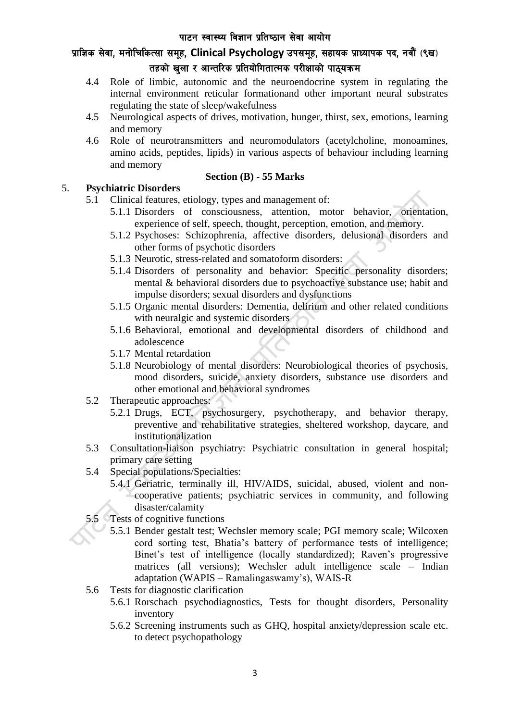## प्राज्ञिक सेवा, मनोचिकित्सा समूह, Clinical Psychology उपसमूह, सहायक प्राध्यापक पद, नवौं (९ख) तहको खुला र आन्तरिक प्रतियोगितात्मक परीक्षाको पाठ्यक्रम

- 4.4 Role of limbic, autonomic and the neuroendocrine system in regulating the internal environment reticular formationand other important neural substrates regulating the state of sleep/wakefulness
- 4.5 Neurological aspects of drives, motivation, hunger, thirst, sex, emotions, learning and memory
- 4.6 Role of neurotransmitters and neuromodulators (acetylcholine, monoamines, amino acids, peptides, lipids) in various aspects of behaviour including learning and memory

### **Section (B) - 55 Marks**

### 5. **Psychiatric Disorders**

- 5.1 Clinical features, etiology, types and management of:
	- 5.1.1 Disorders of consciousness, attention, motor behavior, orientation, experience of self, speech, thought, perception, emotion, and memory.
	- 5.1.2 Psychoses: Schizophrenia, affective disorders, delusional disorders and other forms of psychotic disorders
	- 5.1.3 Neurotic, stress-related and somatoform disorders:
	- 5.1.4 Disorders of personality and behavior: Specific personality disorders; mental & behavioral disorders due to psychoactive substance use; habit and impulse disorders; sexual disorders and dysfunctions
	- 5.1.5 Organic mental disorders: Dementia, delirium and other related conditions with neuralgic and systemic disorders
	- 5.1.6 Behavioral, emotional and developmental disorders of childhood and adolescence
	- 5.1.7 Mental retardation
	- 5.1.8 Neurobiology of mental disorders: Neurobiological theories of psychosis, mood disorders, suicide, anxiety disorders, substance use disorders and other emotional and behavioral syndromes
- 5.2 Therapeutic approaches:
	- 5.2.1 Drugs, ECT, psychosurgery, psychotherapy, and behavior therapy, preventive and rehabilitative strategies, sheltered workshop, daycare, and institutionalization
- 5.3 Consultation-liaison psychiatry: Psychiatric consultation in general hospital; primary care setting
- 5.4 Special populations/Specialties:
	- 5.4.1 Geriatric, terminally ill, HIV/AIDS, suicidal, abused, violent and noncooperative patients; psychiatric services in community, and following disaster/calamity
- 5.5 Tests of cognitive functions
	- 5.5.1 Bender gestalt test; Wechsler memory scale; PGI memory scale; Wilcoxen cord sorting test, Bhatia's battery of performance tests of intelligence; Binet's test of intelligence (locally standardized); Raven's progressive matrices (all versions); Wechsler adult intelligence scale – Indian adaptation (WAPIS – Ramalingaswamy's), WAIS-R
- 5.6 Tests for diagnostic clarification
	- 5.6.1 Rorschach psychodiagnostics, Tests for thought disorders, Personality inventory
	- 5.6.2 Screening instruments such as GHQ, hospital anxiety/depression scale etc. to detect psychopathology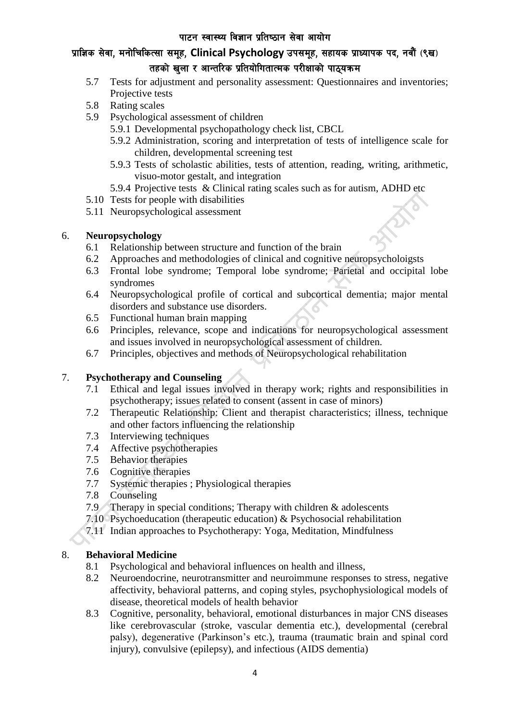## प्राज्ञिक सेवा, मनोचिकित्सा समूह, Clinical Psychology उपसमूह, सहायक प्राध्यापक पद, नवौं (९ख) तहको खुला र आन्तरिक प्रतियोगितात्मक परीक्षाको पाठ्यक्रम

- 5.7 Tests for adjustment and personality assessment: Questionnaires and inventories; Projective tests
- 5.8 Rating scales
- 5.9 Psychological assessment of children
	- 5.9.1 Developmental psychopathology check list, CBCL
	- 5.9.2 Administration, scoring and interpretation of tests of intelligence scale for children, developmental screening test
	- 5.9.3 Tests of scholastic abilities, tests of attention, reading, writing, arithmetic, visuo-motor gestalt, and integration
	- 5.9.4 Projective tests & Clinical rating scales such as for autism, ADHD etc
- 5.10 Tests for people with disabilities
- 5.11 Neuropsychological assessment

### 6. **Neuropsychology**

- 6.1 Relationship between structure and function of the brain
- 6.2 Approaches and methodologies of clinical and cognitive neuropsycholoigsts
- 6.3 Frontal lobe syndrome; Temporal lobe syndrome; Parietal and occipital lobe syndromes
- 6.4 Neuropsychological profile of cortical and subcortical dementia; major mental disorders and substance use disorders.
- 6.5 Functional human brain mapping
- 6.6 Principles, relevance, scope and indications for neuropsychological assessment and issues involved in neuropsychological assessment of children.
- 6.7 Principles, objectives and methods of Neuropsychological rehabilitation

### 7. **Psychotherapy and Counseling**

- 7.1 Ethical and legal issues involved in therapy work; rights and responsibilities in psychotherapy; issues related to consent (assent in case of minors)
- 7.2 Therapeutic Relationship: Client and therapist characteristics; illness, technique and other factors influencing the relationship
- 7.3 Interviewing techniques
- 7.4 Affective psychotherapies
- 7.5 Behavior therapies
- 7.6 Cognitive therapies
- 7.7 Systemic therapies ; Physiological therapies
- 7.8 Counseling
- 7.9 Therapy in special conditions; Therapy with children & adolescents
- 7.10 Psychoeducation (therapeutic education) & Psychosocial rehabilitation
- 7.11 Indian approaches to Psychotherapy: Yoga, Meditation, Mindfulness

#### 8. **Behavioral Medicine**

- 8.1 Psychological and behavioral influences on health and illness,
- 8.2 Neuroendocrine, neurotransmitter and neuroimmune responses to stress, negative affectivity, behavioral patterns, and coping styles, psychophysiological models of disease, theoretical models of health behavior
- 8.3 Cognitive, personality, behavioral, emotional disturbances in major CNS diseases like cerebrovascular (stroke, vascular dementia etc.), developmental (cerebral palsy), degenerative (Parkinson's etc.), trauma (traumatic brain and spinal cord injury), convulsive (epilepsy), and infectious (AIDS dementia)